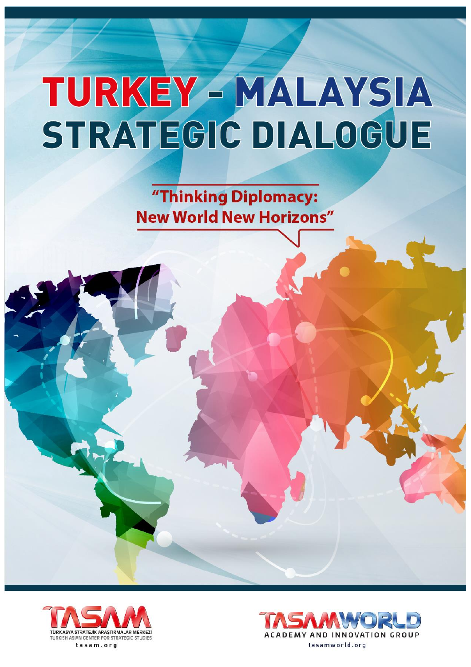"Thinking Diplomacy: **New World New Horizons"** 



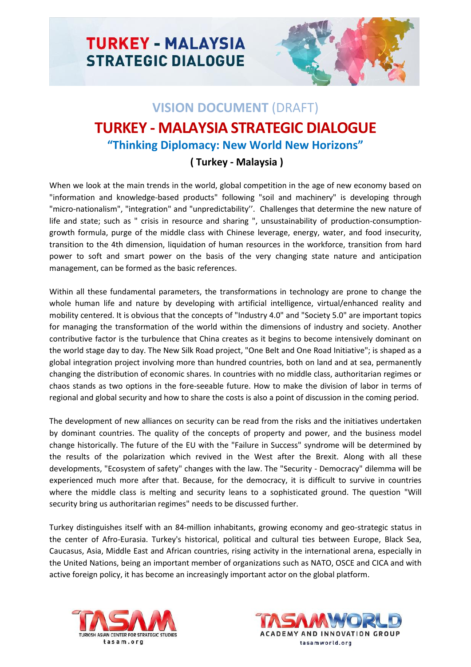

## **VISION DOCUMENT** (DRAFT) **TURKEY - MALAYSIA STRATEGIC DIALOGUE "Thinking Diplomacy: New World New Horizons"**

## **( Turkey - Malaysia )**

When we look at the main trends in the world, global competition in the age of new economy based on "information and knowledge-based products" following "soil and machinery" is developing through "micro-nationalism", "integration" and "unpredictability''. Challenges that determine the new nature of life and state; such as " crisis in resource and sharing ", unsustainability of production-consumptiongrowth formula, purge of the middle class with Chinese leverage, energy, water, and food insecurity, transition to the 4th dimension, liquidation of human resources in the workforce, transition from hard power to soft and smart power on the basis of the very changing state nature and anticipation management, can be formed as the basic references.

Within all these fundamental parameters, the transformations in technology are prone to change the whole human life and nature by developing with artificial intelligence, virtual/enhanced reality and mobility centered. It is obvious that the concepts of "Industry 4.0" and "Society 5.0" are important topics for managing the transformation of the world within the dimensions of industry and society. Another contributive factor is the turbulence that China creates as it begins to become intensively dominant on the world stage day to day. The New Silk Road project, "One Belt and One Road Initiative"; is shaped as a global integration project involving more than hundred countries, both on land and at sea, permanently changing the distribution of economic shares. In countries with no middle class, authoritarian regimes or chaos stands as two options in the fore-seeable future. How to make the division of labor in terms of regional and global security and how to share the costs is also a point of discussion in the coming period.

The development of new alliances on security can be read from the risks and the initiatives undertaken by dominant countries. The quality of the concepts of property and power, and the business model change historically. The future of the EU with the "Failure in Success" syndrome will be determined by the results of the polarization which revived in the West after the Brexit. Along with all these developments, "Ecosystem of safety" changes with the law. The "Security - Democracy" dilemma will be experienced much more after that. Because, for the democracy, it is difficult to survive in countries where the middle class is melting and security leans to a sophisticated ground. The question "Will security bring us authoritarian regimes" needs to be discussed further.

Turkey distinguishes itself with an 84-million inhabitants, growing economy and geo-strategic status in the center of Afro-Eurasia. Turkey's historical, political and cultural ties between Europe, Black Sea, Caucasus, Asia, Middle East and African countries, rising activity in the international arena, especially in the United Nations, being an important member of organizations such as NATO, OSCE and CICA and with active foreign policy, it has become an increasingly important actor on the global platform.



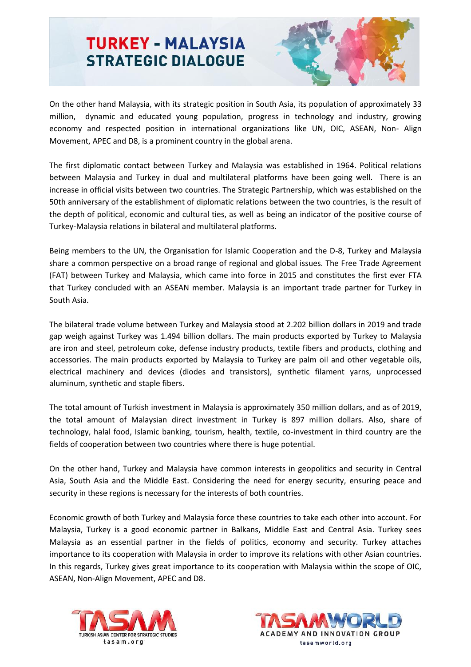

On the other hand Malaysia, with its strategic position in South Asia, its population of approximately 33 million, dynamic and educated young population, progress in technology and industry, growing economy and respected position in international organizations like UN, OIC, ASEAN, Non- Align Movement, APEC and D8, is a prominent country in the global arena.

The first diplomatic contact between Turkey and Malaysia was established in 1964. Political relations between Malaysia and Turkey in dual and multilateral platforms have been going well. There is an increase in official visits between two countries. The Strategic Partnership, which was established on the 50th anniversary of the establishment of diplomatic relations between the two countries, is the result of the depth of political, economic and cultural ties, as well as being an indicator of the positive course of Turkey-Malaysia relations in bilateral and multilateral platforms.

Being members to the UN, the Organisation for Islamic Cooperation and the D-8, Turkey and Malaysia share a common perspective on a broad range of regional and global issues. The Free Trade Agreement (FAT) between Turkey and Malaysia, which came into force in 2015 and constitutes the first ever FTA that Turkey concluded with an ASEAN member. Malaysia is an important trade partner for Turkey in South Asia.

The bilateral trade volume between Turkey and Malaysia stood at 2.202 billion dollars in 2019 and trade gap weigh against Turkey was 1.494 billion dollars. The main products exported by Turkey to Malaysia are iron and steel, petroleum coke, defense industry products, textile fibers and products, clothing and accessories. The main products exported by Malaysia to Turkey are palm oil and other vegetable oils, electrical machinery and devices (diodes and transistors), synthetic filament yarns, unprocessed aluminum, synthetic and staple fibers.

The total amount of Turkish investment in Malaysia is approximately 350 million dollars, and as of 2019, the total amount of Malaysian direct investment in Turkey is 897 million dollars. Also, share of technology, halal food, Islamic banking, tourism, health, textile, co-investment in third country are the fields of cooperation between two countries where there is huge potential.

On the other hand, Turkey and Malaysia have common interests in geopolitics and security in Central Asia, South Asia and the Middle East. Considering the need for energy security, ensuring peace and security in these regions is necessary for the interests of both countries.

Economic growth of both Turkey and Malaysia force these countries to take each other into account. For Malaysia, Turkey is a good economic partner in Balkans, Middle East and Central Asia. Turkey sees Malaysia as an essential partner in the fields of politics, economy and security. Turkey attaches importance to its cooperation with Malaysia in order to improve its relations with other Asian countries. In this regards, Turkey gives great importance to its cooperation with Malaysia within the scope of OIC, ASEAN, Non-Align Movement, APEC and D8.



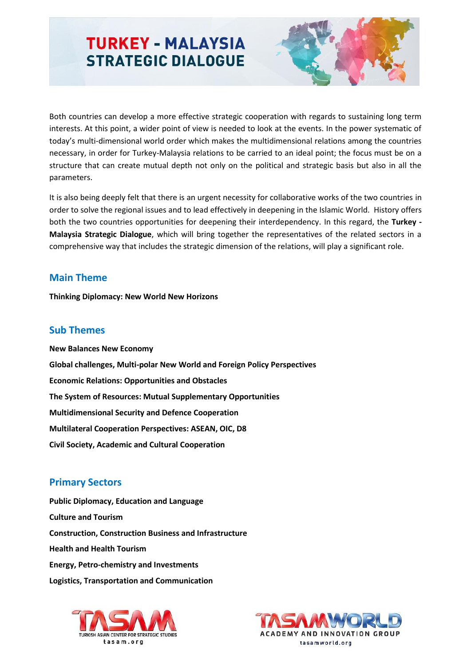

Both countries can develop a more effective strategic cooperation with regards to sustaining long term interests. At this point, a wider point of view is needed to look at the events. In the power systematic of today's multi-dimensional world order which makes the multidimensional relations among the countries necessary, in order for Turkey-Malaysia relations to be carried to an ideal point; the focus must be on a structure that can create mutual depth not only on the political and strategic basis but also in all the parameters.

It is also being deeply felt that there is an urgent necessity for collaborative works of the two countries in order to solve the regional issues and to lead effectively in deepening in the Islamic World. History offers both the two countries opportunities for deepening their interdependency. In this regard, the **Turkey - Malaysia Strategic Dialogue**, which will bring together the representatives of the related sectors in a comprehensive way that includes the strategic dimension of the relations, will play a significant role.

## **Main Theme**

**Thinking Diplomacy: New World New Horizons**

#### **Sub Themes**

**New Balances New Economy Global challenges, Multi-polar New World and Foreign Policy Perspectives Economic Relations: Opportunities and Obstacles The System of Resources: Mutual Supplementary Opportunities Multidimensional Security and Defence Cooperation Multilateral Cooperation Perspectives: ASEAN, OIC, D8 Civil Society, Academic and Cultural Cooperation** 

## **Primary Sectors**

**Public Diplomacy, Education and Language Culture and Tourism Construction, Construction Business and Infrastructure Health and Health Tourism Energy, Petro-chemistry and Investments Logistics, Transportation and Communication**